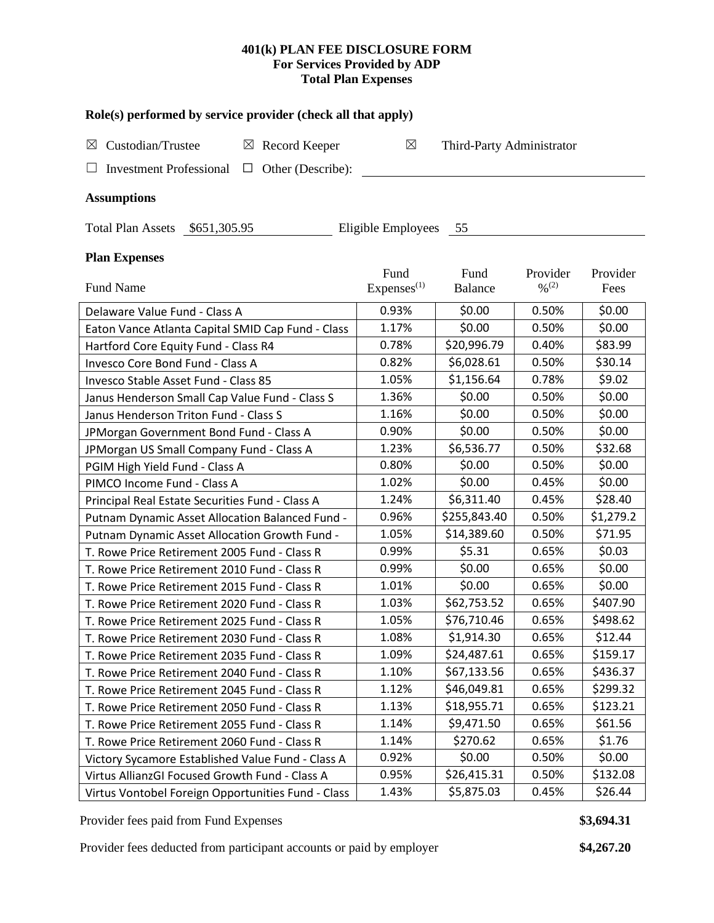# **401(k) PLAN FEE DISCLOSURE FORM For Services Provided by ADP Total Plan Expenses**

|  |  |  |  |  | Role(s) performed by service provider (check all that apply) |
|--|--|--|--|--|--------------------------------------------------------------|
|--|--|--|--|--|--------------------------------------------------------------|

| $\boxtimes$ Custodian/Trustee                           | $\boxtimes$ Record Keeper |  | Third-Party Administrator |
|---------------------------------------------------------|---------------------------|--|---------------------------|
| $\Box$ Investment Professional $\Box$ Other (Describe): |                           |  |                           |

# **Assumptions**

Total Plan Assets \$651,305.95 Eligible Employees 55

# **Plan Expenses**

|                                                    | Fund                   | Fund         | Provider          | Provider  |
|----------------------------------------------------|------------------------|--------------|-------------------|-----------|
| Fund Name                                          | Express <sup>(1)</sup> | Balance      | $\frac{0}{0}$ (2) | Fees      |
| Delaware Value Fund - Class A                      | 0.93%                  | \$0.00       | 0.50%             | \$0.00    |
| Eaton Vance Atlanta Capital SMID Cap Fund - Class  | 1.17%                  | \$0.00       | 0.50%             | \$0.00    |
| Hartford Core Equity Fund - Class R4               | 0.78%                  | \$20,996.79  | 0.40%             | \$83.99   |
| Invesco Core Bond Fund - Class A                   | 0.82%                  | \$6,028.61   | 0.50%             | \$30.14   |
| Invesco Stable Asset Fund - Class 85               | 1.05%                  | \$1,156.64   | 0.78%             | \$9.02    |
| Janus Henderson Small Cap Value Fund - Class S     | 1.36%                  | \$0.00       | 0.50%             | \$0.00    |
| Janus Henderson Triton Fund - Class S              | 1.16%                  | \$0.00       | 0.50%             | \$0.00    |
| JPMorgan Government Bond Fund - Class A            | 0.90%                  | \$0.00       | 0.50%             | \$0.00    |
| JPMorgan US Small Company Fund - Class A           | 1.23%                  | \$6,536.77   | 0.50%             | \$32.68   |
| PGIM High Yield Fund - Class A                     | 0.80%                  | \$0.00       | 0.50%             | \$0.00    |
| PIMCO Income Fund - Class A                        | 1.02%                  | \$0.00       | 0.45%             | \$0.00    |
| Principal Real Estate Securities Fund - Class A    | 1.24%                  | \$6,311.40   | 0.45%             | \$28.40   |
| Putnam Dynamic Asset Allocation Balanced Fund -    | 0.96%                  | \$255,843.40 | 0.50%             | \$1,279.2 |
| Putnam Dynamic Asset Allocation Growth Fund -      | 1.05%                  | \$14,389.60  | 0.50%             | \$71.95   |
| T. Rowe Price Retirement 2005 Fund - Class R       | 0.99%                  | \$5.31       | 0.65%             | \$0.03    |
| T. Rowe Price Retirement 2010 Fund - Class R       | 0.99%                  | \$0.00       | 0.65%             | \$0.00    |
| T. Rowe Price Retirement 2015 Fund - Class R       | 1.01%                  | \$0.00       | 0.65%             | \$0.00    |
| T. Rowe Price Retirement 2020 Fund - Class R       | 1.03%                  | \$62,753.52  | 0.65%             | \$407.90  |
| T. Rowe Price Retirement 2025 Fund - Class R       | 1.05%                  | \$76,710.46  | 0.65%             | \$498.62  |
| T. Rowe Price Retirement 2030 Fund - Class R       | 1.08%                  | \$1,914.30   | 0.65%             | \$12.44   |
| T. Rowe Price Retirement 2035 Fund - Class R       | 1.09%                  | \$24,487.61  | 0.65%             | \$159.17  |
| T. Rowe Price Retirement 2040 Fund - Class R       | 1.10%                  | \$67,133.56  | 0.65%             | \$436.37  |
| T. Rowe Price Retirement 2045 Fund - Class R       | 1.12%                  | \$46,049.81  | 0.65%             | \$299.32  |
| T. Rowe Price Retirement 2050 Fund - Class R       | 1.13%                  | \$18,955.71  | 0.65%             | \$123.21  |
| T. Rowe Price Retirement 2055 Fund - Class R       | 1.14%                  | \$9,471.50   | 0.65%             | \$61.56   |
| T. Rowe Price Retirement 2060 Fund - Class R       | 1.14%                  | \$270.62     | 0.65%             | \$1.76    |
| Victory Sycamore Established Value Fund - Class A  | 0.92%                  | \$0.00       | 0.50%             | \$0.00    |
| Virtus AllianzGI Focused Growth Fund - Class A     | 0.95%                  | \$26,415.31  | 0.50%             | \$132.08  |
| Virtus Vontobel Foreign Opportunities Fund - Class | 1.43%                  | \$5,875.03   | 0.45%             | \$26.44   |

Provider fees paid from Fund Expenses **\$3,694.31** 

Provider fees deducted from participant accounts or paid by employer **\$4,267.20**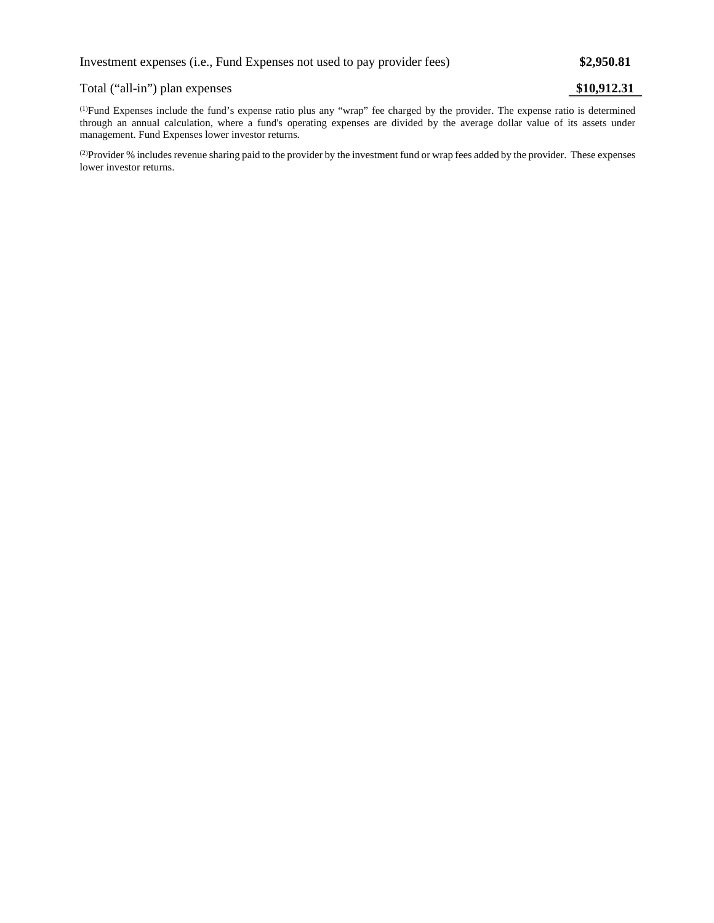## Total ("all-in") plan expenses **\$10,912.31**

(1) Fund Expenses include the fund's expense ratio plus any "wrap" fee charged by the provider. The expense ratio is determined through an annual calculation, where a fund's operating expenses are divided by the average dollar value of its assets under management. Fund Expenses lower investor returns.

(2) Provider % includes revenue sharing paid to the provider by the investment fund or wrap fees added by the provider. These expenses lower investor returns.